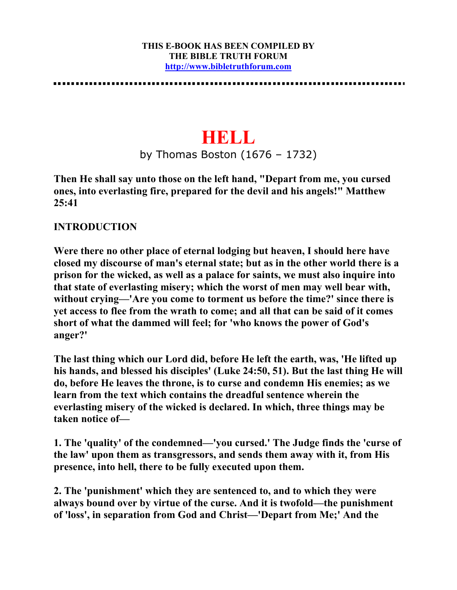#### **THIS E-BOOK HAS BEEN COMPILED BY THE BIBLE TRUTH FORUM http://www.bibletruthforum.com**

# **HELL**

by Thomas Boston (1676 – 1732)

**Then He shall say unto those on the left hand, "Depart from me, you cursed ones, into everlasting fire, prepared for the devil and his angels!" Matthew 25:41** 

## **INTRODUCTION**

**Were there no other place of eternal lodging but heaven, I should here have closed my discourse of man's eternal state; but as in the other world there is a prison for the wicked, as well as a palace for saints, we must also inquire into that state of everlasting misery; which the worst of men may well bear with, without crying—'Are you come to torment us before the time?' since there is yet access to flee from the wrath to come; and all that can be said of it comes short of what the dammed will feel; for 'who knows the power of God's anger?'** 

**The last thing which our Lord did, before He left the earth, was, 'He lifted up his hands, and blessed his disciples' (Luke 24:50, 51). But the last thing He will do, before He leaves the throne, is to curse and condemn His enemies; as we learn from the text which contains the dreadful sentence wherein the everlasting misery of the wicked is declared. In which, three things may be taken notice of—** 

**1. The 'quality' of the condemned—'you cursed.' The Judge finds the 'curse of the law' upon them as transgressors, and sends them away with it, from His presence, into hell, there to be fully executed upon them.** 

**2. The 'punishment' which they are sentenced to, and to which they were always bound over by virtue of the curse. And it is twofold—the punishment of 'loss', in separation from God and Christ—'Depart from Me;' And the**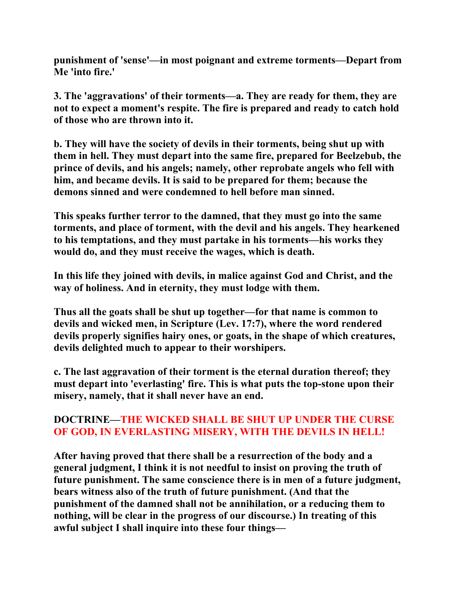**punishment of 'sense'—in most poignant and extreme torments—Depart from Me 'into fire.'** 

**3. The 'aggravations' of their torments—a. They are ready for them, they are not to expect a moment's respite. The fire is prepared and ready to catch hold of those who are thrown into it.** 

**b. They will have the society of devils in their torments, being shut up with them in hell. They must depart into the same fire, prepared for Beelzebub, the prince of devils, and his angels; namely, other reprobate angels who fell with him, and became devils. It is said to be prepared for them; because the demons sinned and were condemned to hell before man sinned.** 

**This speaks further terror to the damned, that they must go into the same torments, and place of torment, with the devil and his angels. They hearkened to his temptations, and they must partake in his torments—his works they would do, and they must receive the wages, which is death.** 

**In this life they joined with devils, in malice against God and Christ, and the way of holiness. And in eternity, they must lodge with them.** 

**Thus all the goats shall be shut up together—for that name is common to devils and wicked men, in Scripture (Lev. 17:7), where the word rendered devils properly signifies hairy ones, or goats, in the shape of which creatures, devils delighted much to appear to their worshipers.** 

**c. The last aggravation of their torment is the eternal duration thereof; they must depart into 'everlasting' fire. This is what puts the top-stone upon their misery, namely, that it shall never have an end.** 

# **DOCTRINE—THE WICKED SHALL BE SHUT UP UNDER THE CURSE OF GOD, IN EVERLASTING MISERY, WITH THE DEVILS IN HELL!**

**After having proved that there shall be a resurrection of the body and a general judgment, I think it is not needful to insist on proving the truth of future punishment. The same conscience there is in men of a future judgment, bears witness also of the truth of future punishment. (And that the punishment of the damned shall not be annihilation, or a reducing them to nothing, will be clear in the progress of our discourse.) In treating of this awful subject I shall inquire into these four things—**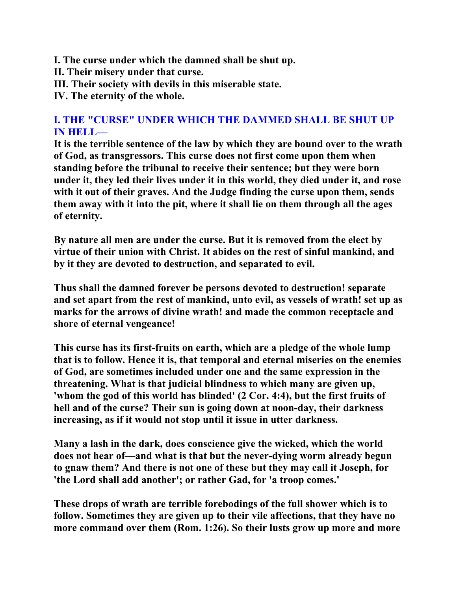- **I. The curse under which the damned shall be shut up.**
- **II. Their misery under that curse.**
- **III. Their society with devils in this miserable state.**

**IV. The eternity of the whole.** 

## **I. THE "CURSE" UNDER WHICH THE DAMMED SHALL BE SHUT UP IN HELL—**

**It is the terrible sentence of the law by which they are bound over to the wrath of God, as transgressors. This curse does not first come upon them when standing before the tribunal to receive their sentence; but they were born under it, they led their lives under it in this world, they died under it, and rose with it out of their graves. And the Judge finding the curse upon them, sends them away with it into the pit, where it shall lie on them through all the ages of eternity.** 

**By nature all men are under the curse. But it is removed from the elect by virtue of their union with Christ. It abides on the rest of sinful mankind, and by it they are devoted to destruction, and separated to evil.** 

**Thus shall the damned forever be persons devoted to destruction! separate and set apart from the rest of mankind, unto evil, as vessels of wrath! set up as marks for the arrows of divine wrath! and made the common receptacle and shore of eternal vengeance!** 

**This curse has its first-fruits on earth, which are a pledge of the whole lump that is to follow. Hence it is, that temporal and eternal miseries on the enemies of God, are sometimes included under one and the same expression in the threatening. What is that judicial blindness to which many are given up, 'whom the god of this world has blinded' (2 Cor. 4:4), but the first fruits of hell and of the curse? Their sun is going down at noon-day, their darkness increasing, as if it would not stop until it issue in utter darkness.** 

**Many a lash in the dark, does conscience give the wicked, which the world does not hear of—and what is that but the never-dying worm already begun to gnaw them? And there is not one of these but they may call it Joseph, for 'the Lord shall add another'; or rather Gad, for 'a troop comes.'** 

**These drops of wrath are terrible forebodings of the full shower which is to follow. Sometimes they are given up to their vile affections, that they have no more command over them (Rom. 1:26). So their lusts grow up more and more**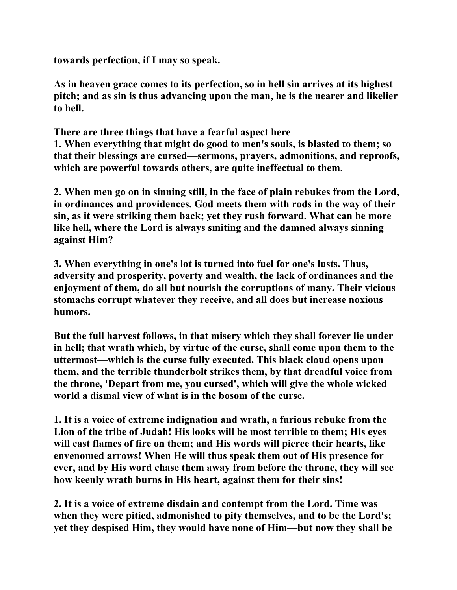**towards perfection, if I may so speak.** 

**As in heaven grace comes to its perfection, so in hell sin arrives at its highest pitch; and as sin is thus advancing upon the man, he is the nearer and likelier to hell.** 

**There are three things that have a fearful aspect here—** 

**1. When everything that might do good to men's souls, is blasted to them; so that their blessings are cursed—sermons, prayers, admonitions, and reproofs, which are powerful towards others, are quite ineffectual to them.** 

**2. When men go on in sinning still, in the face of plain rebukes from the Lord, in ordinances and providences. God meets them with rods in the way of their sin, as it were striking them back; yet they rush forward. What can be more like hell, where the Lord is always smiting and the damned always sinning against Him?** 

**3. When everything in one's lot is turned into fuel for one's lusts. Thus, adversity and prosperity, poverty and wealth, the lack of ordinances and the enjoyment of them, do all but nourish the corruptions of many. Their vicious stomachs corrupt whatever they receive, and all does but increase noxious humors.** 

**But the full harvest follows, in that misery which they shall forever lie under in hell; that wrath which, by virtue of the curse, shall come upon them to the uttermost—which is the curse fully executed. This black cloud opens upon them, and the terrible thunderbolt strikes them, by that dreadful voice from the throne, 'Depart from me, you cursed', which will give the whole wicked world a dismal view of what is in the bosom of the curse.** 

**1. It is a voice of extreme indignation and wrath, a furious rebuke from the Lion of the tribe of Judah! His looks will be most terrible to them; His eyes will cast flames of fire on them; and His words will pierce their hearts, like envenomed arrows! When He will thus speak them out of His presence for ever, and by His word chase them away from before the throne, they will see how keenly wrath burns in His heart, against them for their sins!** 

**2. It is a voice of extreme disdain and contempt from the Lord. Time was when they were pitied, admonished to pity themselves, and to be the Lord's; yet they despised Him, they would have none of Him—but now they shall be**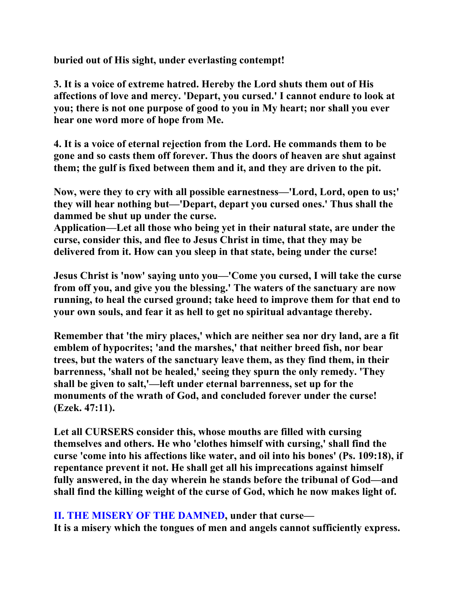**buried out of His sight, under everlasting contempt!** 

**3. It is a voice of extreme hatred. Hereby the Lord shuts them out of His affections of love and mercy. 'Depart, you cursed.' I cannot endure to look at you; there is not one purpose of good to you in My heart; nor shall you ever hear one word more of hope from Me.** 

**4. It is a voice of eternal rejection from the Lord. He commands them to be gone and so casts them off forever. Thus the doors of heaven are shut against them; the gulf is fixed between them and it, and they are driven to the pit.** 

**Now, were they to cry with all possible earnestness—'Lord, Lord, open to us;' they will hear nothing but—'Depart, depart you cursed ones.' Thus shall the dammed be shut up under the curse.** 

**Application—Let all those who being yet in their natural state, are under the curse, consider this, and flee to Jesus Christ in time, that they may be delivered from it. How can you sleep in that state, being under the curse!** 

**Jesus Christ is 'now' saying unto you—'Come you cursed, I will take the curse from off you, and give you the blessing.' The waters of the sanctuary are now running, to heal the cursed ground; take heed to improve them for that end to your own souls, and fear it as hell to get no spiritual advantage thereby.** 

**Remember that 'the miry places,' which are neither sea nor dry land, are a fit emblem of hypocrites; 'and the marshes,' that neither breed fish, nor bear trees, but the waters of the sanctuary leave them, as they find them, in their barrenness, 'shall not be healed,' seeing they spurn the only remedy. 'They shall be given to salt,'—left under eternal barrenness, set up for the monuments of the wrath of God, and concluded forever under the curse! (Ezek. 47:11).** 

**Let all CURSERS consider this, whose mouths are filled with cursing themselves and others. He who 'clothes himself with cursing,' shall find the curse 'come into his affections like water, and oil into his bones' (Ps. 109:18), if repentance prevent it not. He shall get all his imprecations against himself fully answered, in the day wherein he stands before the tribunal of God—and shall find the killing weight of the curse of God, which he now makes light of.** 

**II. THE MISERY OF THE DAMNED, under that curse—** 

**It is a misery which the tongues of men and angels cannot sufficiently express.**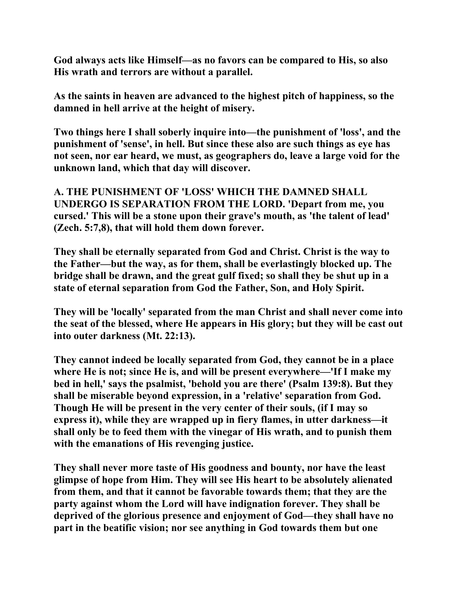**God always acts like Himself—as no favors can be compared to His, so also His wrath and terrors are without a parallel.** 

**As the saints in heaven are advanced to the highest pitch of happiness, so the damned in hell arrive at the height of misery.** 

**Two things here I shall soberly inquire into—the punishment of 'loss', and the punishment of 'sense', in hell. But since these also are such things as eye has not seen, nor ear heard, we must, as geographers do, leave a large void for the unknown land, which that day will discover.** 

**A. THE PUNISHMENT OF 'LOSS' WHICH THE DAMNED SHALL UNDERGO IS SEPARATION FROM THE LORD. 'Depart from me, you cursed.' This will be a stone upon their grave's mouth, as 'the talent of lead' (Zech. 5:7,8), that will hold them down forever.** 

**They shall be eternally separated from God and Christ. Christ is the way to the Father—but the way, as for them, shall be everlastingly blocked up. The bridge shall be drawn, and the great gulf fixed; so shall they be shut up in a state of eternal separation from God the Father, Son, and Holy Spirit.** 

**They will be 'locally' separated from the man Christ and shall never come into the seat of the blessed, where He appears in His glory; but they will be cast out into outer darkness (Mt. 22:13).** 

**They cannot indeed be locally separated from God, they cannot be in a place where He is not; since He is, and will be present everywhere—'If I make my bed in hell,' says the psalmist, 'behold you are there' (Psalm 139:8). But they shall be miserable beyond expression, in a 'relative' separation from God. Though He will be present in the very center of their souls, (if I may so express it), while they are wrapped up in fiery flames, in utter darkness—it shall only be to feed them with the vinegar of His wrath, and to punish them with the emanations of His revenging justice.** 

**They shall never more taste of His goodness and bounty, nor have the least glimpse of hope from Him. They will see His heart to be absolutely alienated from them, and that it cannot be favorable towards them; that they are the party against whom the Lord will have indignation forever. They shall be deprived of the glorious presence and enjoyment of God—they shall have no part in the beatific vision; nor see anything in God towards them but one**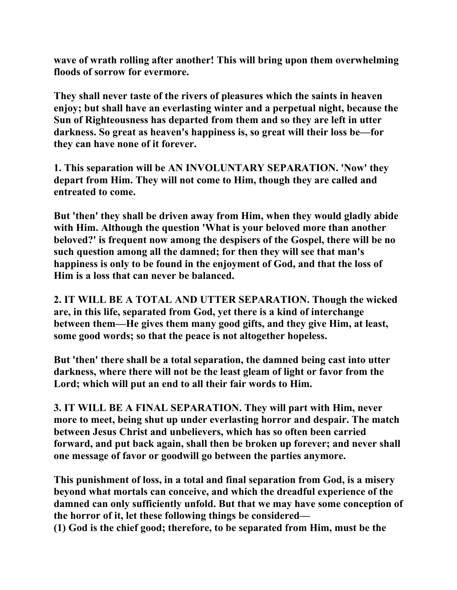**wave of wrath rolling after another! This will bring upon them overwhelming floods of sorrow for evermore.** 

**They shall never taste of the rivers of pleasures which the saints in heaven enjoy; but shall have an everlasting winter and a perpetual night, because the Sun of Righteousness has departed from them and so they are left in utter darkness. So great as heaven's happiness is, so great will their loss be—for they can have none of it forever.** 

**1. This separation will be AN INVOLUNTARY SEPARATION. 'Now' they depart from Him. They will not come to Him, though they are called and entreated to come.** 

**But 'then' they shall be driven away from Him, when they would gladly abide with Him. Although the question 'What is your beloved more than another beloved?' is frequent now among the despisers of the Gospel, there will be no such question among all the damned; for then they will see that man's happiness is only to be found in the enjoyment of God, and that the loss of Him is a loss that can never be balanced.** 

**2. IT WILL BE A TOTAL AND UTTER SEPARATION. Though the wicked are, in this life, separated from God, yet there is a kind of interchange between them—He gives them many good gifts, and they give Him, at least, some good words; so that the peace is not altogether hopeless.** 

**But 'then' there shall be a total separation, the damned being cast into utter darkness, where there will not be the least gleam of light or favor from the Lord; which will put an end to all their fair words to Him.** 

**3. IT WILL BE A FINAL SEPARATION. They will part with Him, never more to meet, being shut up under everlasting horror and despair. The match between Jesus Christ and unbelievers, which has so often been carried forward, and put back again, shall then be broken up forever; and never shall one message of favor or goodwill go between the parties anymore.** 

**This punishment of loss, in a total and final separation from God, is a misery beyond what mortals can conceive, and which the dreadful experience of the damned can only sufficiently unfold. But that we may have some conception of the horror of it, let these following things be considered— (1) God is the chief good; therefore, to be separated from Him, must be the**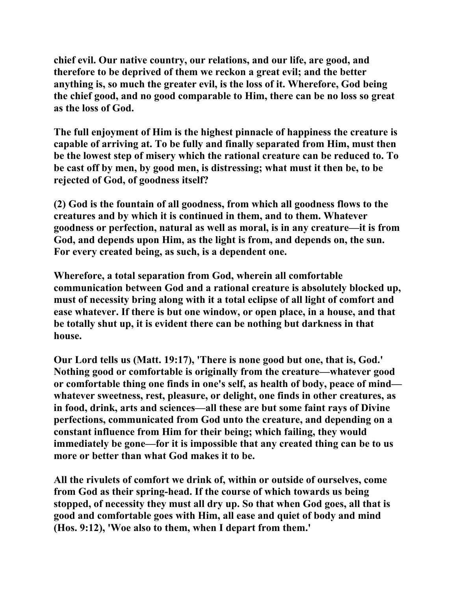**chief evil. Our native country, our relations, and our life, are good, and therefore to be deprived of them we reckon a great evil; and the better anything is, so much the greater evil, is the loss of it. Wherefore, God being the chief good, and no good comparable to Him, there can be no loss so great as the loss of God.** 

**The full enjoyment of Him is the highest pinnacle of happiness the creature is capable of arriving at. To be fully and finally separated from Him, must then be the lowest step of misery which the rational creature can be reduced to. To be cast off by men, by good men, is distressing; what must it then be, to be rejected of God, of goodness itself?** 

**(2) God is the fountain of all goodness, from which all goodness flows to the creatures and by which it is continued in them, and to them. Whatever goodness or perfection, natural as well as moral, is in any creature—it is from God, and depends upon Him, as the light is from, and depends on, the sun. For every created being, as such, is a dependent one.** 

**Wherefore, a total separation from God, wherein all comfortable communication between God and a rational creature is absolutely blocked up, must of necessity bring along with it a total eclipse of all light of comfort and ease whatever. If there is but one window, or open place, in a house, and that be totally shut up, it is evident there can be nothing but darkness in that house.** 

**Our Lord tells us (Matt. 19:17), 'There is none good but one, that is, God.' Nothing good or comfortable is originally from the creature—whatever good or comfortable thing one finds in one's self, as health of body, peace of mind whatever sweetness, rest, pleasure, or delight, one finds in other creatures, as in food, drink, arts and sciences—all these are but some faint rays of Divine perfections, communicated from God unto the creature, and depending on a constant influence from Him for their being; which failing, they would immediately be gone—for it is impossible that any created thing can be to us more or better than what God makes it to be.** 

**All the rivulets of comfort we drink of, within or outside of ourselves, come from God as their spring-head. If the course of which towards us being stopped, of necessity they must all dry up. So that when God goes, all that is good and comfortable goes with Him, all ease and quiet of body and mind (Hos. 9:12), 'Woe also to them, when I depart from them.'**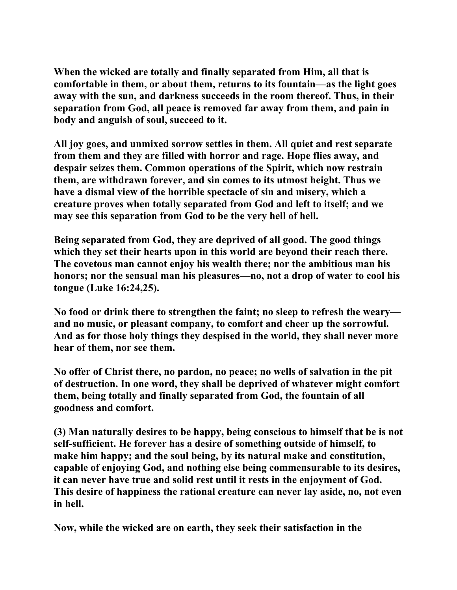**When the wicked are totally and finally separated from Him, all that is comfortable in them, or about them, returns to its fountain—as the light goes away with the sun, and darkness succeeds in the room thereof. Thus, in their separation from God, all peace is removed far away from them, and pain in body and anguish of soul, succeed to it.** 

**All joy goes, and unmixed sorrow settles in them. All quiet and rest separate from them and they are filled with horror and rage. Hope flies away, and despair seizes them. Common operations of the Spirit, which now restrain them, are withdrawn forever, and sin comes to its utmost height. Thus we have a dismal view of the horrible spectacle of sin and misery, which a creature proves when totally separated from God and left to itself; and we may see this separation from God to be the very hell of hell.** 

**Being separated from God, they are deprived of all good. The good things which they set their hearts upon in this world are beyond their reach there. The covetous man cannot enjoy his wealth there; nor the ambitious man his honors; nor the sensual man his pleasures—no, not a drop of water to cool his tongue (Luke 16:24,25).** 

**No food or drink there to strengthen the faint; no sleep to refresh the weary and no music, or pleasant company, to comfort and cheer up the sorrowful. And as for those holy things they despised in the world, they shall never more hear of them, nor see them.** 

**No offer of Christ there, no pardon, no peace; no wells of salvation in the pit of destruction. In one word, they shall be deprived of whatever might comfort them, being totally and finally separated from God, the fountain of all goodness and comfort.** 

**(3) Man naturally desires to be happy, being conscious to himself that be is not self-sufficient. He forever has a desire of something outside of himself, to make him happy; and the soul being, by its natural make and constitution, capable of enjoying God, and nothing else being commensurable to its desires, it can never have true and solid rest until it rests in the enjoyment of God. This desire of happiness the rational creature can never lay aside, no, not even in hell.** 

**Now, while the wicked are on earth, they seek their satisfaction in the**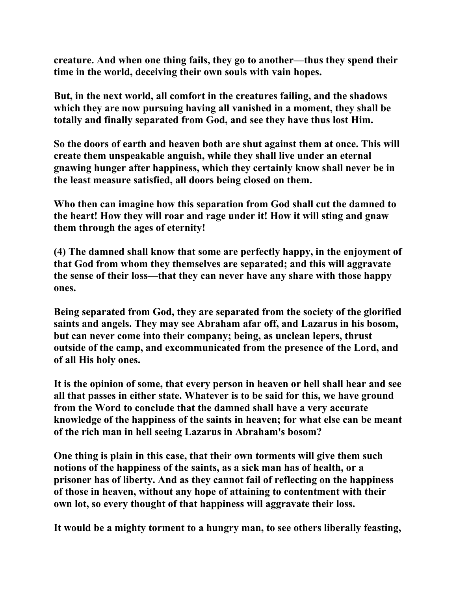**creature. And when one thing fails, they go to another—thus they spend their time in the world, deceiving their own souls with vain hopes.** 

**But, in the next world, all comfort in the creatures failing, and the shadows which they are now pursuing having all vanished in a moment, they shall be totally and finally separated from God, and see they have thus lost Him.** 

**So the doors of earth and heaven both are shut against them at once. This will create them unspeakable anguish, while they shall live under an eternal gnawing hunger after happiness, which they certainly know shall never be in the least measure satisfied, all doors being closed on them.** 

**Who then can imagine how this separation from God shall cut the damned to the heart! How they will roar and rage under it! How it will sting and gnaw them through the ages of eternity!** 

**(4) The damned shall know that some are perfectly happy, in the enjoyment of that God from whom they themselves are separated; and this will aggravate the sense of their loss—that they can never have any share with those happy ones.** 

**Being separated from God, they are separated from the society of the glorified saints and angels. They may see Abraham afar off, and Lazarus in his bosom, but can never come into their company; being, as unclean lepers, thrust outside of the camp, and excommunicated from the presence of the Lord, and of all His holy ones.** 

**It is the opinion of some, that every person in heaven or hell shall hear and see all that passes in either state. Whatever is to be said for this, we have ground from the Word to conclude that the damned shall have a very accurate knowledge of the happiness of the saints in heaven; for what else can be meant of the rich man in hell seeing Lazarus in Abraham's bosom?** 

**One thing is plain in this case, that their own torments will give them such notions of the happiness of the saints, as a sick man has of health, or a prisoner has of liberty. And as they cannot fail of reflecting on the happiness of those in heaven, without any hope of attaining to contentment with their own lot, so every thought of that happiness will aggravate their loss.** 

**It would be a mighty torment to a hungry man, to see others liberally feasting,**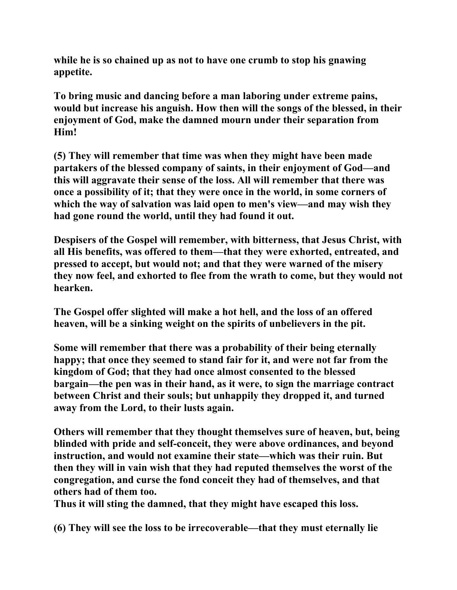**while he is so chained up as not to have one crumb to stop his gnawing appetite.** 

**To bring music and dancing before a man laboring under extreme pains, would but increase his anguish. How then will the songs of the blessed, in their enjoyment of God, make the damned mourn under their separation from Him!** 

**(5) They will remember that time was when they might have been made partakers of the blessed company of saints, in their enjoyment of God—and this will aggravate their sense of the loss. All will remember that there was once a possibility of it; that they were once in the world, in some corners of which the way of salvation was laid open to men's view—and may wish they had gone round the world, until they had found it out.** 

**Despisers of the Gospel will remember, with bitterness, that Jesus Christ, with all His benefits, was offered to them—that they were exhorted, entreated, and pressed to accept, but would not; and that they were warned of the misery they now feel, and exhorted to flee from the wrath to come, but they would not hearken.** 

**The Gospel offer slighted will make a hot hell, and the loss of an offered heaven, will be a sinking weight on the spirits of unbelievers in the pit.** 

**Some will remember that there was a probability of their being eternally happy; that once they seemed to stand fair for it, and were not far from the kingdom of God; that they had once almost consented to the blessed bargain—the pen was in their hand, as it were, to sign the marriage contract between Christ and their souls; but unhappily they dropped it, and turned away from the Lord, to their lusts again.** 

**Others will remember that they thought themselves sure of heaven, but, being blinded with pride and self-conceit, they were above ordinances, and beyond instruction, and would not examine their state—which was their ruin. But then they will in vain wish that they had reputed themselves the worst of the congregation, and curse the fond conceit they had of themselves, and that others had of them too.** 

**Thus it will sting the damned, that they might have escaped this loss.** 

**(6) They will see the loss to be irrecoverable—that they must eternally lie**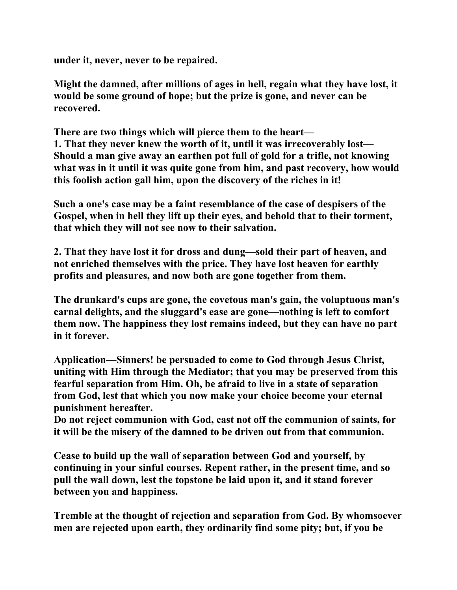**under it, never, never to be repaired.** 

**Might the damned, after millions of ages in hell, regain what they have lost, it would be some ground of hope; but the prize is gone, and never can be recovered.** 

**There are two things which will pierce them to the heart— 1. That they never knew the worth of it, until it was irrecoverably lost— Should a man give away an earthen pot full of gold for a trifle, not knowing what was in it until it was quite gone from him, and past recovery, how would this foolish action gall him, upon the discovery of the riches in it!** 

**Such a one's case may be a faint resemblance of the case of despisers of the Gospel, when in hell they lift up their eyes, and behold that to their torment, that which they will not see now to their salvation.** 

**2. That they have lost it for dross and dung—sold their part of heaven, and not enriched themselves with the price. They have lost heaven for earthly profits and pleasures, and now both are gone together from them.** 

**The drunkard's cups are gone, the covetous man's gain, the voluptuous man's carnal delights, and the sluggard's ease are gone—nothing is left to comfort them now. The happiness they lost remains indeed, but they can have no part in it forever.** 

**Application—Sinners! be persuaded to come to God through Jesus Christ, uniting with Him through the Mediator; that you may be preserved from this fearful separation from Him. Oh, be afraid to live in a state of separation from God, lest that which you now make your choice become your eternal punishment hereafter.** 

**Do not reject communion with God, cast not off the communion of saints, for it will be the misery of the damned to be driven out from that communion.** 

**Cease to build up the wall of separation between God and yourself, by continuing in your sinful courses. Repent rather, in the present time, and so pull the wall down, lest the topstone be laid upon it, and it stand forever between you and happiness.** 

**Tremble at the thought of rejection and separation from God. By whomsoever men are rejected upon earth, they ordinarily find some pity; but, if you be**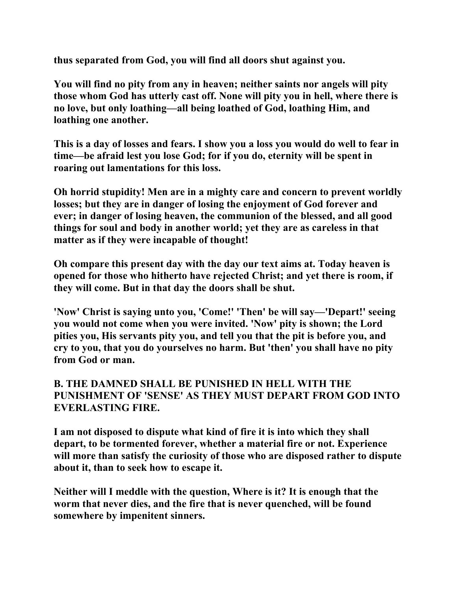**thus separated from God, you will find all doors shut against you.** 

**You will find no pity from any in heaven; neither saints nor angels will pity those whom God has utterly cast off. None will pity you in hell, where there is no love, but only loathing—all being loathed of God, loathing Him, and loathing one another.** 

**This is a day of losses and fears. I show you a loss you would do well to fear in time—be afraid lest you lose God; for if you do, eternity will be spent in roaring out lamentations for this loss.** 

**Oh horrid stupidity! Men are in a mighty care and concern to prevent worldly losses; but they are in danger of losing the enjoyment of God forever and ever; in danger of losing heaven, the communion of the blessed, and all good things for soul and body in another world; yet they are as careless in that matter as if they were incapable of thought!** 

**Oh compare this present day with the day our text aims at. Today heaven is opened for those who hitherto have rejected Christ; and yet there is room, if they will come. But in that day the doors shall be shut.** 

**'Now' Christ is saying unto you, 'Come!' 'Then' be will say—'Depart!' seeing you would not come when you were invited. 'Now' pity is shown; the Lord pities you, His servants pity you, and tell you that the pit is before you, and cry to you, that you do yourselves no harm. But 'then' you shall have no pity from God or man.** 

#### **B. THE DAMNED SHALL BE PUNISHED IN HELL WITH THE PUNISHMENT OF 'SENSE' AS THEY MUST DEPART FROM GOD INTO EVERLASTING FIRE.**

**I am not disposed to dispute what kind of fire it is into which they shall depart, to be tormented forever, whether a material fire or not. Experience will more than satisfy the curiosity of those who are disposed rather to dispute about it, than to seek how to escape it.** 

**Neither will I meddle with the question, Where is it? It is enough that the worm that never dies, and the fire that is never quenched, will be found somewhere by impenitent sinners.**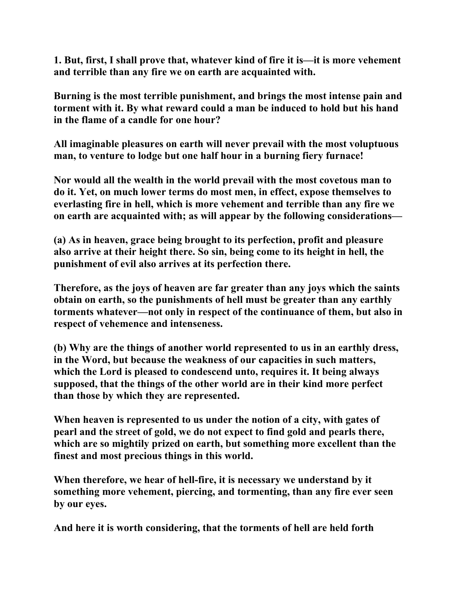**1. But, first, I shall prove that, whatever kind of fire it is—it is more vehement and terrible than any fire we on earth are acquainted with.** 

**Burning is the most terrible punishment, and brings the most intense pain and torment with it. By what reward could a man be induced to hold but his hand in the flame of a candle for one hour?** 

**All imaginable pleasures on earth will never prevail with the most voluptuous man, to venture to lodge but one half hour in a burning fiery furnace!** 

**Nor would all the wealth in the world prevail with the most covetous man to do it. Yet, on much lower terms do most men, in effect, expose themselves to everlasting fire in hell, which is more vehement and terrible than any fire we on earth are acquainted with; as will appear by the following considerations—** 

**(a) As in heaven, grace being brought to its perfection, profit and pleasure also arrive at their height there. So sin, being come to its height in hell, the punishment of evil also arrives at its perfection there.** 

**Therefore, as the joys of heaven are far greater than any joys which the saints obtain on earth, so the punishments of hell must be greater than any earthly torments whatever—not only in respect of the continuance of them, but also in respect of vehemence and intenseness.** 

**(b) Why are the things of another world represented to us in an earthly dress, in the Word, but because the weakness of our capacities in such matters, which the Lord is pleased to condescend unto, requires it. It being always supposed, that the things of the other world are in their kind more perfect than those by which they are represented.** 

**When heaven is represented to us under the notion of a city, with gates of pearl and the street of gold, we do not expect to find gold and pearls there, which are so mightily prized on earth, but something more excellent than the finest and most precious things in this world.** 

**When therefore, we hear of hell-fire, it is necessary we understand by it something more vehement, piercing, and tormenting, than any fire ever seen by our eyes.** 

**And here it is worth considering, that the torments of hell are held forth**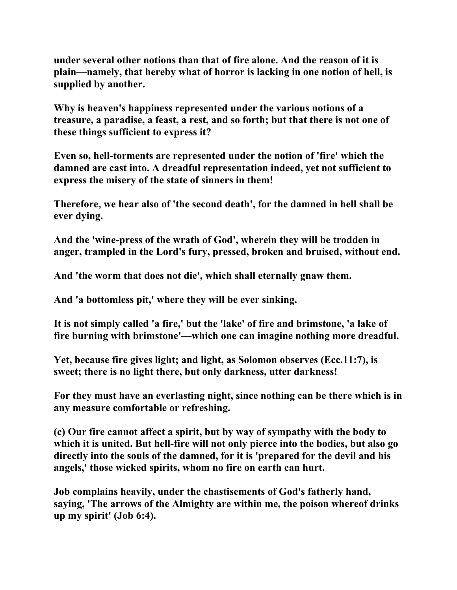**under several other notions than that of fire alone. And the reason of it is plain—namely, that hereby what of horror is lacking in one notion of hell, is supplied by another.** 

**Why is heaven's happiness represented under the various notions of a treasure, a paradise, a feast, a rest, and so forth; but that there is not one of these things sufficient to express it?** 

**Even so, hell-torments are represented under the notion of 'fire' which the damned are cast into. A dreadful representation indeed, yet not sufficient to express the misery of the state of sinners in them!** 

**Therefore, we hear also of 'the second death', for the damned in hell shall be ever dying.** 

**And the 'wine-press of the wrath of God', wherein they will be trodden in anger, trampled in the Lord's fury, pressed, broken and bruised, without end.** 

**And 'the worm that does not die', which shall eternally gnaw them.** 

**And 'a bottomless pit,' where they will be ever sinking.** 

**It is not simply called 'a fire,' but the 'lake' of fire and brimstone, 'a lake of fire burning with brimstone'—which one can imagine nothing more dreadful.** 

**Yet, because fire gives light; and light, as Solomon observes (Ecc.11:7), is sweet; there is no light there, but only darkness, utter darkness!** 

**For they must have an everlasting night, since nothing can be there which is in any measure comfortable or refreshing.** 

**(c) Our fire cannot affect a spirit, but by way of sympathy with the body to which it is united. But hell-fire will not only pierce into the bodies, but also go directly into the souls of the damned, for it is 'prepared for the devil and his angels,' those wicked spirits, whom no fire on earth can hurt.** 

**Job complains heavily, under the chastisements of God's fatherly hand, saying, 'The arrows of the Almighty are within me, the poison whereof drinks up my spirit' (Job 6:4).**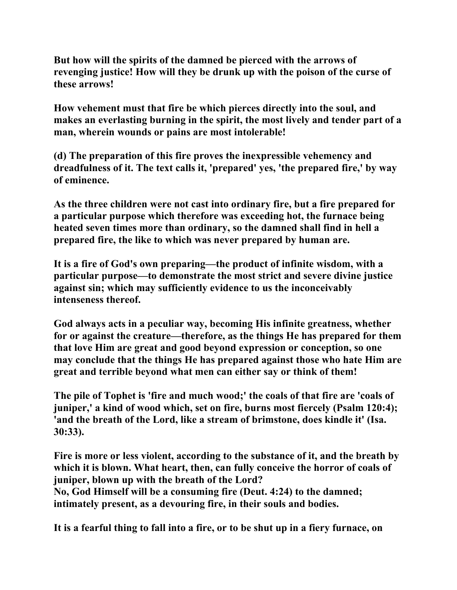**But how will the spirits of the damned be pierced with the arrows of revenging justice! How will they be drunk up with the poison of the curse of these arrows!** 

**How vehement must that fire be which pierces directly into the soul, and makes an everlasting burning in the spirit, the most lively and tender part of a man, wherein wounds or pains are most intolerable!** 

**(d) The preparation of this fire proves the inexpressible vehemency and dreadfulness of it. The text calls it, 'prepared' yes, 'the prepared fire,' by way of eminence.** 

**As the three children were not cast into ordinary fire, but a fire prepared for a particular purpose which therefore was exceeding hot, the furnace being heated seven times more than ordinary, so the damned shall find in hell a prepared fire, the like to which was never prepared by human are.** 

**It is a fire of God's own preparing—the product of infinite wisdom, with a particular purpose—to demonstrate the most strict and severe divine justice against sin; which may sufficiently evidence to us the inconceivably intenseness thereof.** 

**God always acts in a peculiar way, becoming His infinite greatness, whether for or against the creature—therefore, as the things He has prepared for them that love Him are great and good beyond expression or conception, so one may conclude that the things He has prepared against those who hate Him are great and terrible beyond what men can either say or think of them!** 

**The pile of Tophet is 'fire and much wood;' the coals of that fire are 'coals of juniper,' a kind of wood which, set on fire, burns most fiercely (Psalm 120:4); 'and the breath of the Lord, like a stream of brimstone, does kindle it' (Isa. 30:33).** 

**Fire is more or less violent, according to the substance of it, and the breath by which it is blown. What heart, then, can fully conceive the horror of coals of juniper, blown up with the breath of the Lord? No, God Himself will be a consuming fire (Deut. 4:24) to the damned;** 

**intimately present, as a devouring fire, in their souls and bodies.** 

**It is a fearful thing to fall into a fire, or to be shut up in a fiery furnace, on**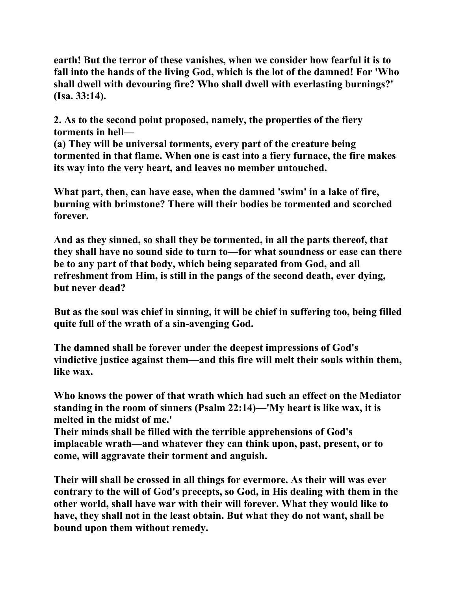**earth! But the terror of these vanishes, when we consider how fearful it is to fall into the hands of the living God, which is the lot of the damned! For 'Who shall dwell with devouring fire? Who shall dwell with everlasting burnings?' (Isa. 33:14).** 

**2. As to the second point proposed, namely, the properties of the fiery torments in hell—** 

**(a) They will be universal torments, every part of the creature being tormented in that flame. When one is cast into a fiery furnace, the fire makes its way into the very heart, and leaves no member untouched.** 

**What part, then, can have ease, when the damned 'swim' in a lake of fire, burning with brimstone? There will their bodies be tormented and scorched forever.** 

**And as they sinned, so shall they be tormented, in all the parts thereof, that they shall have no sound side to turn to—for what soundness or ease can there be to any part of that body, which being separated from God, and all refreshment from Him, is still in the pangs of the second death, ever dying, but never dead?** 

**But as the soul was chief in sinning, it will be chief in suffering too, being filled quite full of the wrath of a sin-avenging God.** 

**The damned shall be forever under the deepest impressions of God's vindictive justice against them—and this fire will melt their souls within them, like wax.** 

**Who knows the power of that wrath which had such an effect on the Mediator standing in the room of sinners (Psalm 22:14)—'My heart is like wax, it is melted in the midst of me.'** 

**Their minds shall be filled with the terrible apprehensions of God's implacable wrath—and whatever they can think upon, past, present, or to come, will aggravate their torment and anguish.** 

**Their will shall be crossed in all things for evermore. As their will was ever contrary to the will of God's precepts, so God, in His dealing with them in the other world, shall have war with their will forever. What they would like to have, they shall not in the least obtain. But what they do not want, shall be bound upon them without remedy.**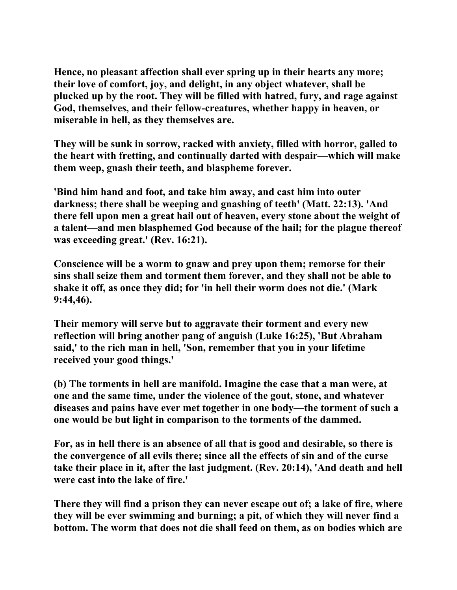**Hence, no pleasant affection shall ever spring up in their hearts any more; their love of comfort, joy, and delight, in any object whatever, shall be plucked up by the root. They will be filled with hatred, fury, and rage against God, themselves, and their fellow-creatures, whether happy in heaven, or miserable in hell, as they themselves are.** 

**They will be sunk in sorrow, racked with anxiety, filled with horror, galled to the heart with fretting, and continually darted with despair—which will make them weep, gnash their teeth, and blaspheme forever.** 

**'Bind him hand and foot, and take him away, and cast him into outer darkness; there shall be weeping and gnashing of teeth' (Matt. 22:13). 'And there fell upon men a great hail out of heaven, every stone about the weight of a talent—and men blasphemed God because of the hail; for the plague thereof was exceeding great.' (Rev. 16:21).** 

**Conscience will be a worm to gnaw and prey upon them; remorse for their sins shall seize them and torment them forever, and they shall not be able to shake it off, as once they did; for 'in hell their worm does not die.' (Mark 9:44,46).** 

**Their memory will serve but to aggravate their torment and every new reflection will bring another pang of anguish (Luke 16:25), 'But Abraham said,' to the rich man in hell, 'Son, remember that you in your lifetime received your good things.'** 

**(b) The torments in hell are manifold. Imagine the case that a man were, at one and the same time, under the violence of the gout, stone, and whatever diseases and pains have ever met together in one body—the torment of such a one would be but light in comparison to the torments of the dammed.** 

**For, as in hell there is an absence of all that is good and desirable, so there is the convergence of all evils there; since all the effects of sin and of the curse take their place in it, after the last judgment. (Rev. 20:14), 'And death and hell were cast into the lake of fire.'** 

**There they will find a prison they can never escape out of; a lake of fire, where they will be ever swimming and burning; a pit, of which they will never find a bottom. The worm that does not die shall feed on them, as on bodies which are**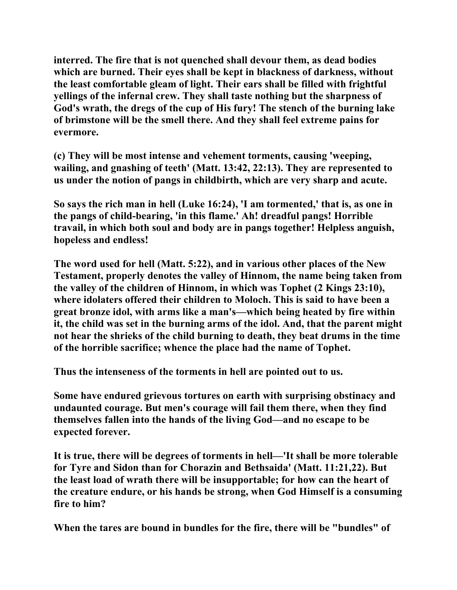**interred. The fire that is not quenched shall devour them, as dead bodies which are burned. Their eyes shall be kept in blackness of darkness, without the least comfortable gleam of light. Their ears shall be filled with frightful yellings of the infernal crew. They shall taste nothing but the sharpness of God's wrath, the dregs of the cup of His fury! The stench of the burning lake of brimstone will be the smell there. And they shall feel extreme pains for evermore.** 

**(c) They will be most intense and vehement torments, causing 'weeping, wailing, and gnashing of teeth' (Matt. 13:42, 22:13). They are represented to us under the notion of pangs in childbirth, which are very sharp and acute.** 

**So says the rich man in hell (Luke 16:24), 'I am tormented,' that is, as one in the pangs of child-bearing, 'in this flame.' Ah! dreadful pangs! Horrible travail, in which both soul and body are in pangs together! Helpless anguish, hopeless and endless!** 

**The word used for hell (Matt. 5:22), and in various other places of the New Testament, properly denotes the valley of Hinnom, the name being taken from the valley of the children of Hinnom, in which was Tophet (2 Kings 23:10), where idolaters offered their children to Moloch. This is said to have been a great bronze idol, with arms like a man's—which being heated by fire within it, the child was set in the burning arms of the idol. And, that the parent might not hear the shrieks of the child burning to death, they beat drums in the time of the horrible sacrifice; whence the place had the name of Tophet.** 

**Thus the intenseness of the torments in hell are pointed out to us.** 

**Some have endured grievous tortures on earth with surprising obstinacy and undaunted courage. But men's courage will fail them there, when they find themselves fallen into the hands of the living God—and no escape to be expected forever.** 

**It is true, there will be degrees of torments in hell—'It shall be more tolerable for Tyre and Sidon than for Chorazin and Bethsaida' (Matt. 11:21,22). But the least load of wrath there will be insupportable; for how can the heart of the creature endure, or his hands be strong, when God Himself is a consuming fire to him?** 

**When the tares are bound in bundles for the fire, there will be "bundles" of**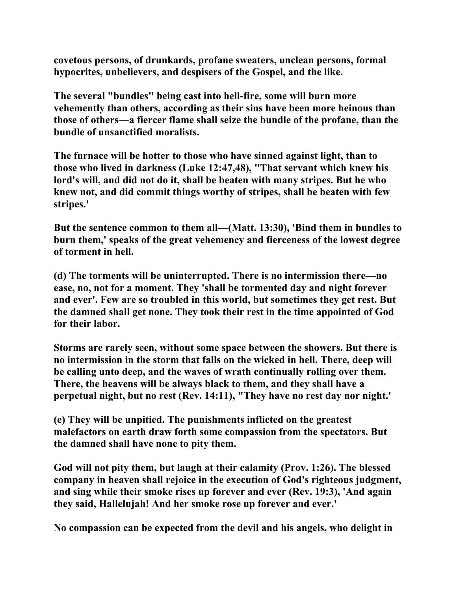**covetous persons, of drunkards, profane sweaters, unclean persons, formal hypocrites, unbelievers, and despisers of the Gospel, and the like.** 

**The several "bundles" being cast into hell-fire, some will burn more vehemently than others, according as their sins have been more heinous than those of others—a fiercer flame shall seize the bundle of the profane, than the bundle of unsanctified moralists.** 

**The furnace will be hotter to those who have sinned against light, than to those who lived in darkness (Luke 12:47,48), "That servant which knew his lord's will, and did not do it, shall be beaten with many stripes. But he who knew not, and did commit things worthy of stripes, shall be beaten with few stripes.'** 

**But the sentence common to them all—(Matt. 13:30), 'Bind them in bundles to burn them,' speaks of the great vehemency and fierceness of the lowest degree of torment in hell.** 

**(d) The torments will be uninterrupted. There is no intermission there—no ease, no, not for a moment. They 'shall be tormented day and night forever and ever'. Few are so troubled in this world, but sometimes they get rest. But the damned shall get none. They took their rest in the time appointed of God for their labor.** 

**Storms are rarely seen, without some space between the showers. But there is no intermission in the storm that falls on the wicked in hell. There, deep will be calling unto deep, and the waves of wrath continually rolling over them. There, the heavens will be always black to them, and they shall have a perpetual night, but no rest (Rev. 14:11), "They have no rest day nor night.'** 

**(e) They will be unpitied. The punishments inflicted on the greatest malefactors on earth draw forth some compassion from the spectators. But the damned shall have none to pity them.** 

**God will not pity them, but laugh at their calamity (Prov. 1:26). The blessed company in heaven shall rejoice in the execution of God's righteous judgment, and sing while their smoke rises up forever and ever (Rev. 19:3), 'And again they said, Hallelujah! And her smoke rose up forever and ever.'** 

**No compassion can be expected from the devil and his angels, who delight in**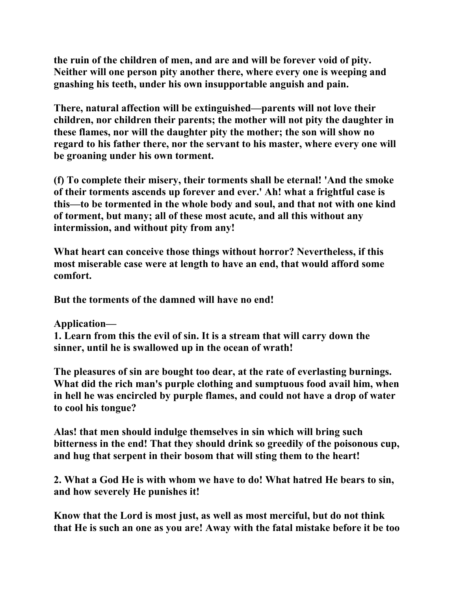**the ruin of the children of men, and are and will be forever void of pity. Neither will one person pity another there, where every one is weeping and gnashing his teeth, under his own insupportable anguish and pain.** 

**There, natural affection will be extinguished—parents will not love their children, nor children their parents; the mother will not pity the daughter in these flames, nor will the daughter pity the mother; the son will show no regard to his father there, nor the servant to his master, where every one will be groaning under his own torment.** 

**(f) To complete their misery, their torments shall be eternal! 'And the smoke of their torments ascends up forever and ever.' Ah! what a frightful case is this—to be tormented in the whole body and soul, and that not with one kind of torment, but many; all of these most acute, and all this without any intermission, and without pity from any!** 

**What heart can conceive those things without horror? Nevertheless, if this most miserable case were at length to have an end, that would afford some comfort.** 

**But the torments of the damned will have no end!** 

**Application—** 

**1. Learn from this the evil of sin. It is a stream that will carry down the sinner, until he is swallowed up in the ocean of wrath!** 

**The pleasures of sin are bought too dear, at the rate of everlasting burnings. What did the rich man's purple clothing and sumptuous food avail him, when in hell he was encircled by purple flames, and could not have a drop of water to cool his tongue?** 

**Alas! that men should indulge themselves in sin which will bring such bitterness in the end! That they should drink so greedily of the poisonous cup, and hug that serpent in their bosom that will sting them to the heart!** 

**2. What a God He is with whom we have to do! What hatred He bears to sin, and how severely He punishes it!** 

**Know that the Lord is most just, as well as most merciful, but do not think that He is such an one as you are! Away with the fatal mistake before it be too**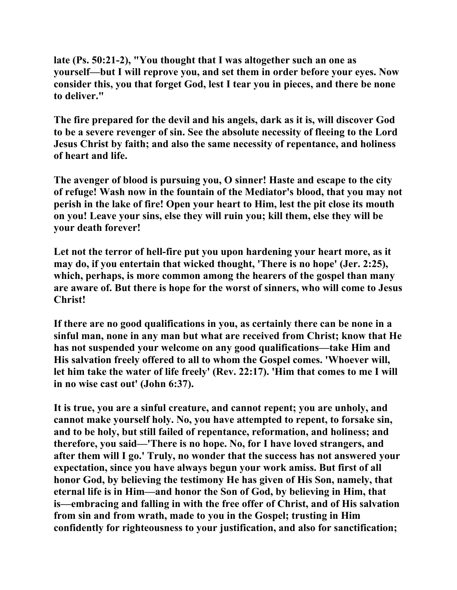**late (Ps. 50:21-2), "You thought that I was altogether such an one as yourself—but I will reprove you, and set them in order before your eyes. Now consider this, you that forget God, lest I tear you in pieces, and there be none to deliver."** 

**The fire prepared for the devil and his angels, dark as it is, will discover God to be a severe revenger of sin. See the absolute necessity of fleeing to the Lord Jesus Christ by faith; and also the same necessity of repentance, and holiness of heart and life.** 

**The avenger of blood is pursuing you, O sinner! Haste and escape to the city of refuge! Wash now in the fountain of the Mediator's blood, that you may not perish in the lake of fire! Open your heart to Him, lest the pit close its mouth on you! Leave your sins, else they will ruin you; kill them, else they will be your death forever!** 

**Let not the terror of hell-fire put you upon hardening your heart more, as it may do, if you entertain that wicked thought, 'There is no hope' (Jer. 2:25), which, perhaps, is more common among the hearers of the gospel than many are aware of. But there is hope for the worst of sinners, who will come to Jesus Christ!** 

**If there are no good qualifications in you, as certainly there can be none in a sinful man, none in any man but what are received from Christ; know that He has not suspended your welcome on any good qualifications—take Him and His salvation freely offered to all to whom the Gospel comes. 'Whoever will, let him take the water of life freely' (Rev. 22:17). 'Him that comes to me I will in no wise cast out' (John 6:37).** 

**It is true, you are a sinful creature, and cannot repent; you are unholy, and cannot make yourself holy. No, you have attempted to repent, to forsake sin, and to be holy, but still failed of repentance, reformation, and holiness; and therefore, you said—'There is no hope. No, for I have loved strangers, and after them will I go.' Truly, no wonder that the success has not answered your expectation, since you have always begun your work amiss. But first of all honor God, by believing the testimony He has given of His Son, namely, that eternal life is in Him—and honor the Son of God, by believing in Him, that is—embracing and falling in with the free offer of Christ, and of His salvation from sin and from wrath, made to you in the Gospel; trusting in Him confidently for righteousness to your justification, and also for sanctification;**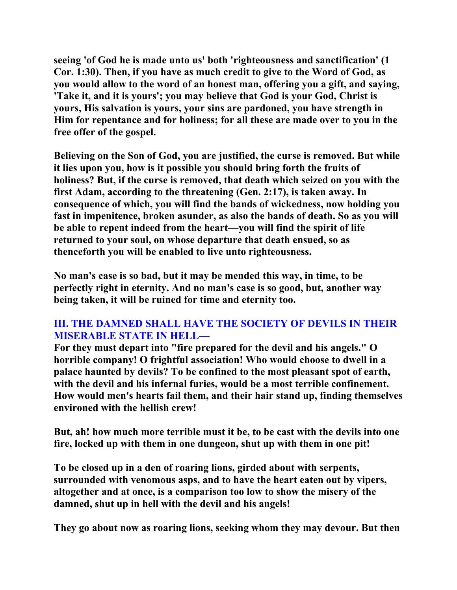**seeing 'of God he is made unto us' both 'righteousness and sanctification' (1 Cor. 1:30). Then, if you have as much credit to give to the Word of God, as you would allow to the word of an honest man, offering you a gift, and saying, 'Take it, and it is yours'; you may believe that God is your God, Christ is yours, His salvation is yours, your sins are pardoned, you have strength in Him for repentance and for holiness; for all these are made over to you in the free offer of the gospel.** 

**Believing on the Son of God, you are justified, the curse is removed. But while it lies upon you, how is it possible you should bring forth the fruits of holiness? But, if the curse is removed, that death which seized on you with the first Adam, according to the threatening (Gen. 2:17), is taken away. In consequence of which, you will find the bands of wickedness, now holding you fast in impenitence, broken asunder, as also the bands of death. So as you will be able to repent indeed from the heart—you will find the spirit of life returned to your soul, on whose departure that death ensued, so as thenceforth you will be enabled to live unto righteousness.** 

**No man's case is so bad, but it may be mended this way, in time, to be perfectly right in eternity. And no man's case is so good, but, another way being taken, it will be ruined for time and eternity too.** 

#### **III. THE DAMNED SHALL HAVE THE SOCIETY OF DEVILS IN THEIR MISERABLE STATE IN HELL—**

**For they must depart into "fire prepared for the devil and his angels." O horrible company! O frightful association! Who would choose to dwell in a palace haunted by devils? To be confined to the most pleasant spot of earth, with the devil and his infernal furies, would be a most terrible confinement. How would men's hearts fail them, and their hair stand up, finding themselves environed with the hellish crew!** 

**But, ah! how much more terrible must it be, to be cast with the devils into one fire, locked up with them in one dungeon, shut up with them in one pit!** 

**To be closed up in a den of roaring lions, girded about with serpents, surrounded with venomous asps, and to have the heart eaten out by vipers, altogether and at once, is a comparison too low to show the misery of the damned, shut up in hell with the devil and his angels!** 

**They go about now as roaring lions, seeking whom they may devour. But then**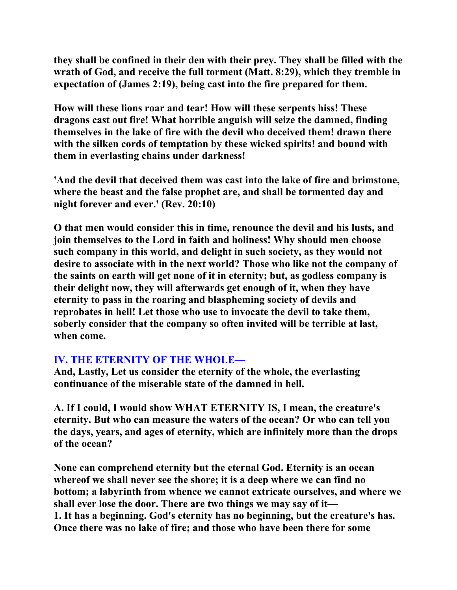**they shall be confined in their den with their prey. They shall be filled with the wrath of God, and receive the full torment (Matt. 8:29), which they tremble in expectation of (James 2:19), being cast into the fire prepared for them.** 

**How will these lions roar and tear! How will these serpents hiss! These dragons cast out fire! What horrible anguish will seize the damned, finding themselves in the lake of fire with the devil who deceived them! drawn there with the silken cords of temptation by these wicked spirits! and bound with them in everlasting chains under darkness!** 

**'And the devil that deceived them was cast into the lake of fire and brimstone, where the beast and the false prophet are, and shall be tormented day and night forever and ever.' (Rev. 20:10)** 

**O that men would consider this in time, renounce the devil and his lusts, and join themselves to the Lord in faith and holiness! Why should men choose such company in this world, and delight in such society, as they would not desire to associate with in the next world? Those who like not the company of the saints on earth will get none of it in eternity; but, as godless company is their delight now, they will afterwards get enough of it, when they have eternity to pass in the roaring and blaspheming society of devils and reprobates in hell! Let those who use to invocate the devil to take them, soberly consider that the company so often invited will be terrible at last, when come.** 

#### **IV. THE ETERNITY OF THE WHOLE—**

**And, Lastly, Let us consider the eternity of the whole, the everlasting continuance of the miserable state of the damned in hell.** 

**A. If I could, I would show WHAT ETERNITY IS, I mean, the creature's eternity. But who can measure the waters of the ocean? Or who can tell you the days, years, and ages of eternity, which are infinitely more than the drops of the ocean?** 

**None can comprehend eternity but the eternal God. Eternity is an ocean whereof we shall never see the shore; it is a deep where we can find no bottom; a labyrinth from whence we cannot extricate ourselves, and where we shall ever lose the door. There are two things we may say of it— 1. It has a beginning. God's eternity has no beginning, but the creature's has. Once there was no lake of fire; and those who have been there for some**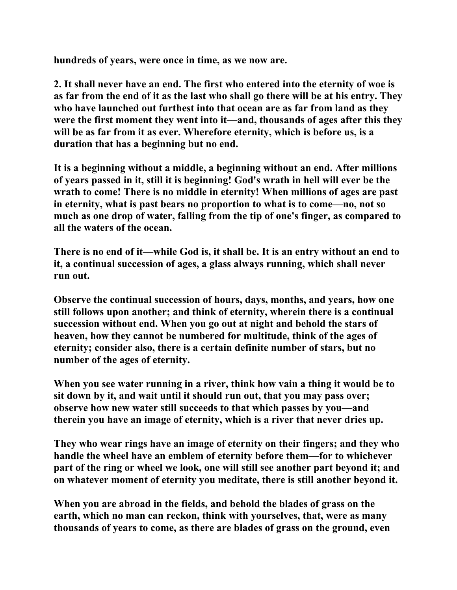**hundreds of years, were once in time, as we now are.** 

**2. It shall never have an end. The first who entered into the eternity of woe is as far from the end of it as the last who shall go there will be at his entry. They who have launched out furthest into that ocean are as far from land as they were the first moment they went into it—and, thousands of ages after this they will be as far from it as ever. Wherefore eternity, which is before us, is a duration that has a beginning but no end.** 

**It is a beginning without a middle, a beginning without an end. After millions of years passed in it, still it is beginning! God's wrath in hell will ever be the wrath to come! There is no middle in eternity! When millions of ages are past in eternity, what is past bears no proportion to what is to come—no, not so much as one drop of water, falling from the tip of one's finger, as compared to all the waters of the ocean.** 

**There is no end of it—while God is, it shall be. It is an entry without an end to it, a continual succession of ages, a glass always running, which shall never run out.** 

**Observe the continual succession of hours, days, months, and years, how one still follows upon another; and think of eternity, wherein there is a continual succession without end. When you go out at night and behold the stars of heaven, how they cannot be numbered for multitude, think of the ages of eternity; consider also, there is a certain definite number of stars, but no number of the ages of eternity.** 

**When you see water running in a river, think how vain a thing it would be to sit down by it, and wait until it should run out, that you may pass over; observe how new water still succeeds to that which passes by you—and therein you have an image of eternity, which is a river that never dries up.** 

**They who wear rings have an image of eternity on their fingers; and they who handle the wheel have an emblem of eternity before them—for to whichever part of the ring or wheel we look, one will still see another part beyond it; and on whatever moment of eternity you meditate, there is still another beyond it.** 

**When you are abroad in the fields, and behold the blades of grass on the earth, which no man can reckon, think with yourselves, that, were as many thousands of years to come, as there are blades of grass on the ground, even**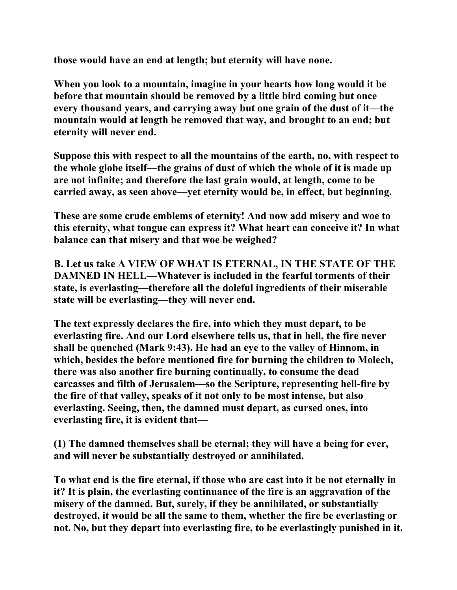**those would have an end at length; but eternity will have none.** 

**When you look to a mountain, imagine in your hearts how long would it be before that mountain should be removed by a little bird coming but once every thousand years, and carrying away but one grain of the dust of it—the mountain would at length be removed that way, and brought to an end; but eternity will never end.** 

**Suppose this with respect to all the mountains of the earth, no, with respect to the whole globe itself—the grains of dust of which the whole of it is made up are not infinite; and therefore the last grain would, at length, come to be carried away, as seen above—yet eternity would be, in effect, but beginning.** 

**These are some crude emblems of eternity! And now add misery and woe to this eternity, what tongue can express it? What heart can conceive it? In what balance can that misery and that woe be weighed?** 

**B. Let us take A VIEW OF WHAT IS ETERNAL, IN THE STATE OF THE DAMNED IN HELL—Whatever is included in the fearful torments of their state, is everlasting—therefore all the doleful ingredients of their miserable state will be everlasting—they will never end.** 

**The text expressly declares the fire, into which they must depart, to be everlasting fire. And our Lord elsewhere tells us, that in hell, the fire never shall be quenched (Mark 9:43). He had an eye to the valley of Hinnom, in which, besides the before mentioned fire for burning the children to Molech, there was also another fire burning continually, to consume the dead carcasses and filth of Jerusalem—so the Scripture, representing hell-fire by the fire of that valley, speaks of it not only to be most intense, but also everlasting. Seeing, then, the damned must depart, as cursed ones, into everlasting fire, it is evident that—** 

**(1) The damned themselves shall be eternal; they will have a being for ever, and will never be substantially destroyed or annihilated.** 

**To what end is the fire eternal, if those who are cast into it be not eternally in it? It is plain, the everlasting continuance of the fire is an aggravation of the misery of the damned. But, surely, if they be annihilated, or substantially destroyed, it would be all the same to them, whether the fire be everlasting or not. No, but they depart into everlasting fire, to be everlastingly punished in it.**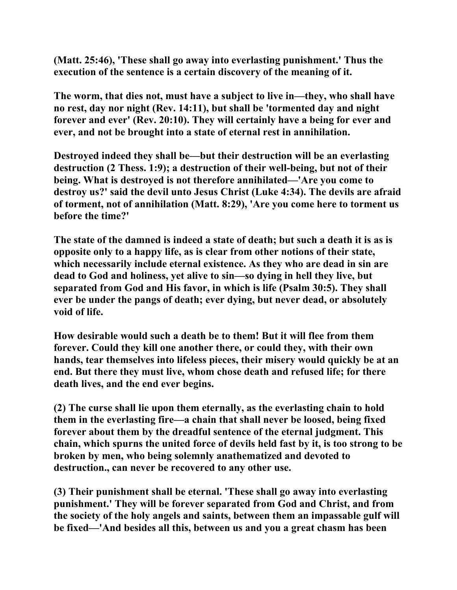**(Matt. 25:46), 'These shall go away into everlasting punishment.' Thus the execution of the sentence is a certain discovery of the meaning of it.** 

**The worm, that dies not, must have a subject to live in—they, who shall have no rest, day nor night (Rev. 14:11), but shall be 'tormented day and night forever and ever' (Rev. 20:10). They will certainly have a being for ever and ever, and not be brought into a state of eternal rest in annihilation.** 

**Destroyed indeed they shall be—but their destruction will be an everlasting destruction (2 Thess. 1:9); a destruction of their well-being, but not of their being. What is destroyed is not therefore annihilated—'Are you come to destroy us?' said the devil unto Jesus Christ (Luke 4:34). The devils are afraid of torment, not of annihilation (Matt. 8:29), 'Are you come here to torment us before the time?'** 

**The state of the damned is indeed a state of death; but such a death it is as is opposite only to a happy life, as is clear from other notions of their state, which necessarily include eternal existence. As they who are dead in sin are dead to God and holiness, yet alive to sin—so dying in hell they live, but separated from God and His favor, in which is life (Psalm 30:5). They shall ever be under the pangs of death; ever dying, but never dead, or absolutely void of life.** 

**How desirable would such a death be to them! But it will flee from them forever. Could they kill one another there, or could they, with their own hands, tear themselves into lifeless pieces, their misery would quickly be at an end. But there they must live, whom chose death and refused life; for there death lives, and the end ever begins.** 

**(2) The curse shall lie upon them eternally, as the everlasting chain to hold them in the everlasting fire—a chain that shall never be loosed, being fixed forever about them by the dreadful sentence of the eternal judgment. This chain, which spurns the united force of devils held fast by it, is too strong to be broken by men, who being solemnly anathematized and devoted to destruction., can never be recovered to any other use.** 

**(3) Their punishment shall be eternal. 'These shall go away into everlasting punishment.' They will be forever separated from God and Christ, and from the society of the holy angels and saints, between them an impassable gulf will be fixed—'And besides all this, between us and you a great chasm has been**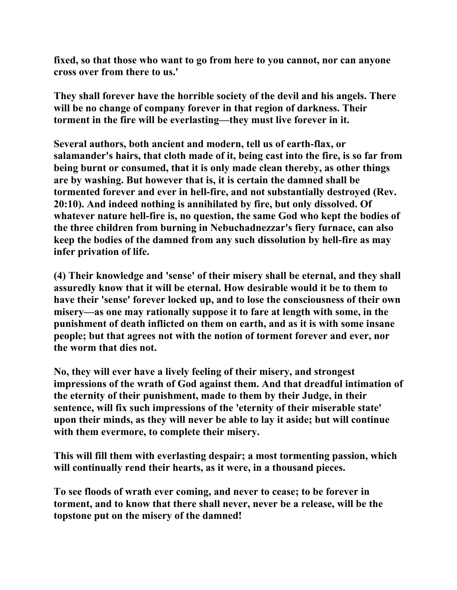**fixed, so that those who want to go from here to you cannot, nor can anyone cross over from there to us.'** 

**They shall forever have the horrible society of the devil and his angels. There will be no change of company forever in that region of darkness. Their torment in the fire will be everlasting—they must live forever in it.** 

**Several authors, both ancient and modern, tell us of earth-flax, or salamander's hairs, that cloth made of it, being cast into the fire, is so far from being burnt or consumed, that it is only made clean thereby, as other things are by washing. But however that is, it is certain the damned shall be tormented forever and ever in hell-fire, and not substantially destroyed (Rev. 20:10). And indeed nothing is annihilated by fire, but only dissolved. Of whatever nature hell-fire is, no question, the same God who kept the bodies of the three children from burning in Nebuchadnezzar's fiery furnace, can also keep the bodies of the damned from any such dissolution by hell-fire as may infer privation of life.** 

**(4) Their knowledge and 'sense' of their misery shall be eternal, and they shall assuredly know that it will be eternal. How desirable would it be to them to have their 'sense' forever locked up, and to lose the consciousness of their own misery—as one may rationally suppose it to fare at length with some, in the punishment of death inflicted on them on earth, and as it is with some insane people; but that agrees not with the notion of torment forever and ever, nor the worm that dies not.** 

**No, they will ever have a lively feeling of their misery, and strongest impressions of the wrath of God against them. And that dreadful intimation of the eternity of their punishment, made to them by their Judge, in their sentence, will fix such impressions of the 'eternity of their miserable state' upon their minds, as they will never be able to lay it aside; but will continue with them evermore, to complete their misery.** 

**This will fill them with everlasting despair; a most tormenting passion, which will continually rend their hearts, as it were, in a thousand pieces.** 

**To see floods of wrath ever coming, and never to cease; to be forever in torment, and to know that there shall never, never be a release, will be the topstone put on the misery of the damned!**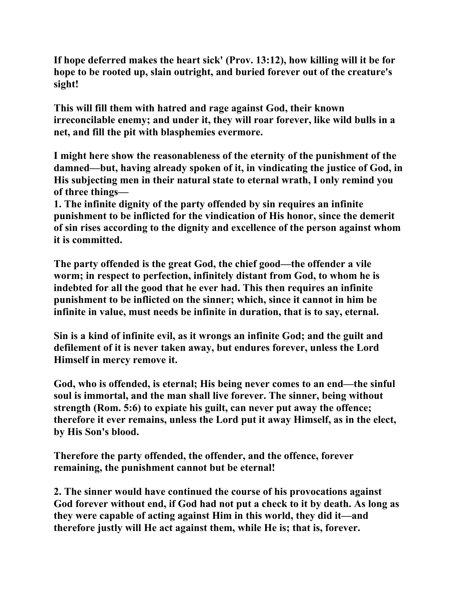**If hope deferred makes the heart sick' (Prov. 13:12), how killing will it be for hope to be rooted up, slain outright, and buried forever out of the creature's sight!** 

**This will fill them with hatred and rage against God, their known irreconcilable enemy; and under it, they will roar forever, like wild bulls in a net, and fill the pit with blasphemies evermore.** 

**I might here show the reasonableness of the eternity of the punishment of the damned—but, having already spoken of it, in vindicating the justice of God, in His subjecting men in their natural state to eternal wrath, I only remind you of three things—** 

**1. The infinite dignity of the party offended by sin requires an infinite punishment to be inflicted for the vindication of His honor, since the demerit of sin rises according to the dignity and excellence of the person against whom it is committed.** 

**The party offended is the great God, the chief good—the offender a vile worm; in respect to perfection, infinitely distant from God, to whom he is indebted for all the good that he ever had. This then requires an infinite punishment to be inflicted on the sinner; which, since it cannot in him be infinite in value, must needs be infinite in duration, that is to say, eternal.** 

**Sin is a kind of infinite evil, as it wrongs an infinite God; and the guilt and defilement of it is never taken away, but endures forever, unless the Lord Himself in mercy remove it.** 

**God, who is offended, is eternal; His being never comes to an end—the sinful soul is immortal, and the man shall live forever. The sinner, being without strength (Rom. 5:6) to expiate his guilt, can never put away the offence; therefore it ever remains, unless the Lord put it away Himself, as in the elect, by His Son's blood.** 

**Therefore the party offended, the offender, and the offence, forever remaining, the punishment cannot but be eternal!** 

**2. The sinner would have continued the course of his provocations against God forever without end, if God had not put a check to it by death. As long as they were capable of acting against Him in this world, they did it—and therefore justly will He act against them, while He is; that is, forever.**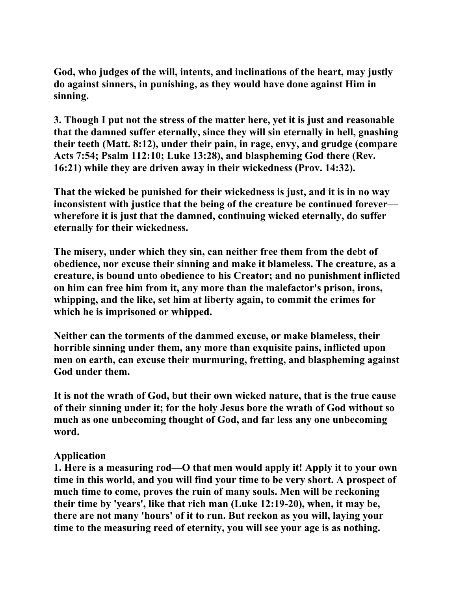**God, who judges of the will, intents, and inclinations of the heart, may justly do against sinners, in punishing, as they would have done against Him in sinning.** 

**3. Though I put not the stress of the matter here, yet it is just and reasonable that the damned suffer eternally, since they will sin eternally in hell, gnashing their teeth (Matt. 8:12), under their pain, in rage, envy, and grudge (compare Acts 7:54; Psalm 112:10; Luke 13:28), and blaspheming God there (Rev. 16:21) while they are driven away in their wickedness (Prov. 14:32).** 

**That the wicked be punished for their wickedness is just, and it is in no way inconsistent with justice that the being of the creature be continued forever wherefore it is just that the damned, continuing wicked eternally, do suffer eternally for their wickedness.** 

**The misery, under which they sin, can neither free them from the debt of obedience, nor excuse their sinning and make it blameless. The creature, as a creature, is bound unto obedience to his Creator; and no punishment inflicted on him can free him from it, any more than the malefactor's prison, irons, whipping, and the like, set him at liberty again, to commit the crimes for which he is imprisoned or whipped.** 

**Neither can the torments of the dammed excuse, or make blameless, their horrible sinning under them, any more than exquisite pains, inflicted upon men on earth, can excuse their murmuring, fretting, and blaspheming against God under them.** 

**It is not the wrath of God, but their own wicked nature, that is the true cause of their sinning under it; for the holy Jesus bore the wrath of God without so much as one unbecoming thought of God, and far less any one unbecoming word.** 

#### **Application**

**1. Here is a measuring rod—O that men would apply it! Apply it to your own time in this world, and you will find your time to be very short. A prospect of much time to come, proves the ruin of many souls. Men will be reckoning their time by 'years', like that rich man (Luke 12:19-20), when, it may be, there are not many 'hours' of it to run. But reckon as you will, laying your time to the measuring reed of eternity, you will see your age is as nothing.**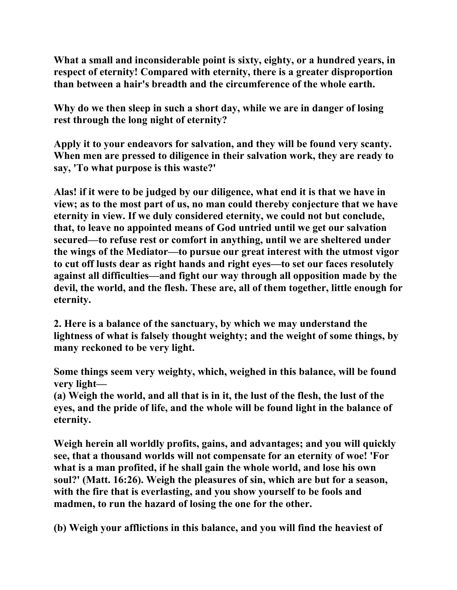**What a small and inconsiderable point is sixty, eighty, or a hundred years, in respect of eternity! Compared with eternity, there is a greater disproportion than between a hair's breadth and the circumference of the whole earth.** 

**Why do we then sleep in such a short day, while we are in danger of losing rest through the long night of eternity?** 

**Apply it to your endeavors for salvation, and they will be found very scanty. When men are pressed to diligence in their salvation work, they are ready to say, 'To what purpose is this waste?'** 

**Alas! if it were to be judged by our diligence, what end it is that we have in view; as to the most part of us, no man could thereby conjecture that we have eternity in view. If we duly considered eternity, we could not but conclude, that, to leave no appointed means of God untried until we get our salvation secured—to refuse rest or comfort in anything, until we are sheltered under the wings of the Mediator—to pursue our great interest with the utmost vigor to cut off lusts dear as right hands and right eyes—to set our faces resolutely against all difficulties—and fight our way through all opposition made by the devil, the world, and the flesh. These are, all of them together, little enough for eternity.** 

**2. Here is a balance of the sanctuary, by which we may understand the lightness of what is falsely thought weighty; and the weight of some things, by many reckoned to be very light.** 

**Some things seem very weighty, which, weighed in this balance, will be found very light—** 

**(a) Weigh the world, and all that is in it, the lust of the flesh, the lust of the eyes, and the pride of life, and the whole will be found light in the balance of eternity.** 

**Weigh herein all worldly profits, gains, and advantages; and you will quickly see, that a thousand worlds will not compensate for an eternity of woe! 'For what is a man profited, if he shall gain the whole world, and lose his own soul?' (Matt. 16:26). Weigh the pleasures of sin, which are but for a season, with the fire that is everlasting, and you show yourself to be fools and madmen, to run the hazard of losing the one for the other.** 

**(b) Weigh your afflictions in this balance, and you will find the heaviest of**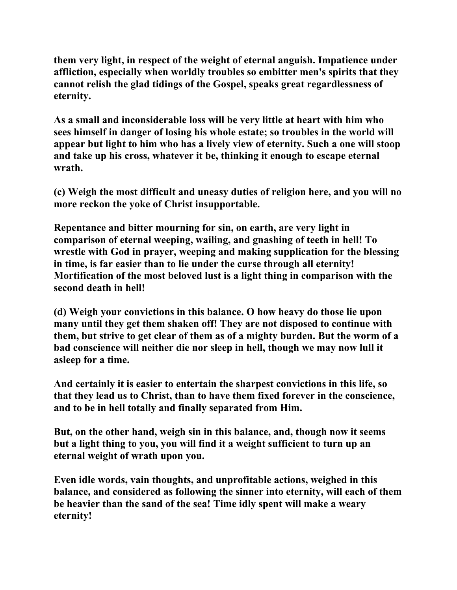**them very light, in respect of the weight of eternal anguish. Impatience under affliction, especially when worldly troubles so embitter men's spirits that they cannot relish the glad tidings of the Gospel, speaks great regardlessness of eternity.** 

**As a small and inconsiderable loss will be very little at heart with him who sees himself in danger of losing his whole estate; so troubles in the world will appear but light to him who has a lively view of eternity. Such a one will stoop and take up his cross, whatever it be, thinking it enough to escape eternal wrath.** 

**(c) Weigh the most difficult and uneasy duties of religion here, and you will no more reckon the yoke of Christ insupportable.** 

**Repentance and bitter mourning for sin, on earth, are very light in comparison of eternal weeping, wailing, and gnashing of teeth in hell! To wrestle with God in prayer, weeping and making supplication for the blessing in time, is far easier than to lie under the curse through all eternity! Mortification of the most beloved lust is a light thing in comparison with the second death in hell!** 

**(d) Weigh your convictions in this balance. O how heavy do those lie upon many until they get them shaken off! They are not disposed to continue with them, but strive to get clear of them as of a mighty burden. But the worm of a bad conscience will neither die nor sleep in hell, though we may now lull it asleep for a time.** 

**And certainly it is easier to entertain the sharpest convictions in this life, so that they lead us to Christ, than to have them fixed forever in the conscience, and to be in hell totally and finally separated from Him.** 

**But, on the other hand, weigh sin in this balance, and, though now it seems but a light thing to you, you will find it a weight sufficient to turn up an eternal weight of wrath upon you.** 

**Even idle words, vain thoughts, and unprofitable actions, weighed in this balance, and considered as following the sinner into eternity, will each of them be heavier than the sand of the sea! Time idly spent will make a weary eternity!**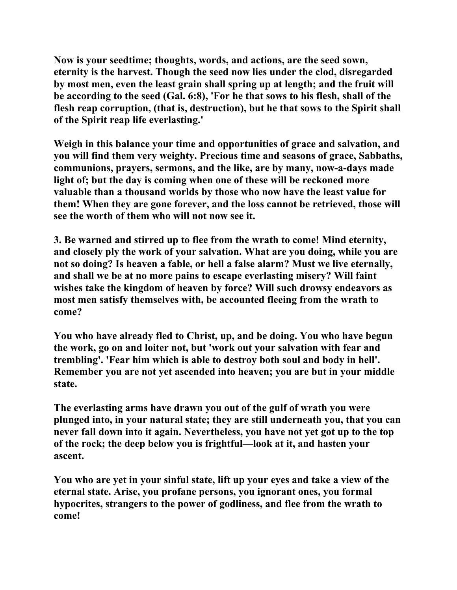**Now is your seedtime; thoughts, words, and actions, are the seed sown, eternity is the harvest. Though the seed now lies under the clod, disregarded by most men, even the least grain shall spring up at length; and the fruit will be according to the seed (Gal. 6:8), 'For he that sows to his flesh, shall of the flesh reap corruption, (that is, destruction), but he that sows to the Spirit shall of the Spirit reap life everlasting.'** 

**Weigh in this balance your time and opportunities of grace and salvation, and you will find them very weighty. Precious time and seasons of grace, Sabbaths, communions, prayers, sermons, and the like, are by many, now-a-days made light of; but the day is coming when one of these will be reckoned more valuable than a thousand worlds by those who now have the least value for them! When they are gone forever, and the loss cannot be retrieved, those will see the worth of them who will not now see it.** 

**3. Be warned and stirred up to flee from the wrath to come! Mind eternity, and closely ply the work of your salvation. What are you doing, while you are not so doing? Is heaven a fable, or hell a false alarm? Must we live eternally, and shall we be at no more pains to escape everlasting misery? Will faint wishes take the kingdom of heaven by force? Will such drowsy endeavors as most men satisfy themselves with, be accounted fleeing from the wrath to come?** 

**You who have already fled to Christ, up, and be doing. You who have begun the work, go on and loiter not, but 'work out your salvation with fear and trembling'. 'Fear him which is able to destroy both soul and body in hell'. Remember you are not yet ascended into heaven; you are but in your middle state.** 

**The everlasting arms have drawn you out of the gulf of wrath you were plunged into, in your natural state; they are still underneath you, that you can never fall down into it again. Nevertheless, you have not yet got up to the top of the rock; the deep below you is frightful—look at it, and hasten your ascent.** 

**You who are yet in your sinful state, lift up your eyes and take a view of the eternal state. Arise, you profane persons, you ignorant ones, you formal hypocrites, strangers to the power of godliness, and flee from the wrath to come!**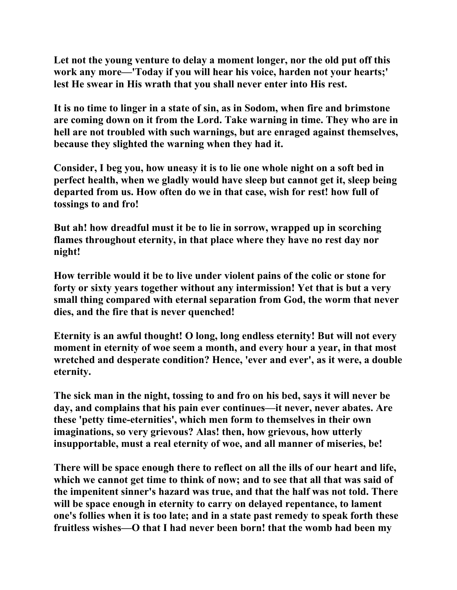**Let not the young venture to delay a moment longer, nor the old put off this work any more—'Today if you will hear his voice, harden not your hearts;' lest He swear in His wrath that you shall never enter into His rest.** 

**It is no time to linger in a state of sin, as in Sodom, when fire and brimstone are coming down on it from the Lord. Take warning in time. They who are in hell are not troubled with such warnings, but are enraged against themselves, because they slighted the warning when they had it.** 

**Consider, I beg you, how uneasy it is to lie one whole night on a soft bed in perfect health, when we gladly would have sleep but cannot get it, sleep being departed from us. How often do we in that case, wish for rest! how full of tossings to and fro!** 

**But ah! how dreadful must it be to lie in sorrow, wrapped up in scorching flames throughout eternity, in that place where they have no rest day nor night!** 

**How terrible would it be to live under violent pains of the colic or stone for forty or sixty years together without any intermission! Yet that is but a very small thing compared with eternal separation from God, the worm that never dies, and the fire that is never quenched!** 

**Eternity is an awful thought! O long, long endless eternity! But will not every moment in eternity of woe seem a month, and every hour a year, in that most wretched and desperate condition? Hence, 'ever and ever', as it were, a double eternity.** 

**The sick man in the night, tossing to and fro on his bed, says it will never be day, and complains that his pain ever continues—it never, never abates. Are these 'petty time-eternities', which men form to themselves in their own imaginations, so very grievous? Alas! then, how grievous, how utterly insupportable, must a real eternity of woe, and all manner of miseries, be!** 

**There will be space enough there to reflect on all the ills of our heart and life, which we cannot get time to think of now; and to see that all that was said of the impenitent sinner's hazard was true, and that the half was not told. There will be space enough in eternity to carry on delayed repentance, to lament one's follies when it is too late; and in a state past remedy to speak forth these fruitless wishes—O that I had never been born! that the womb had been my**